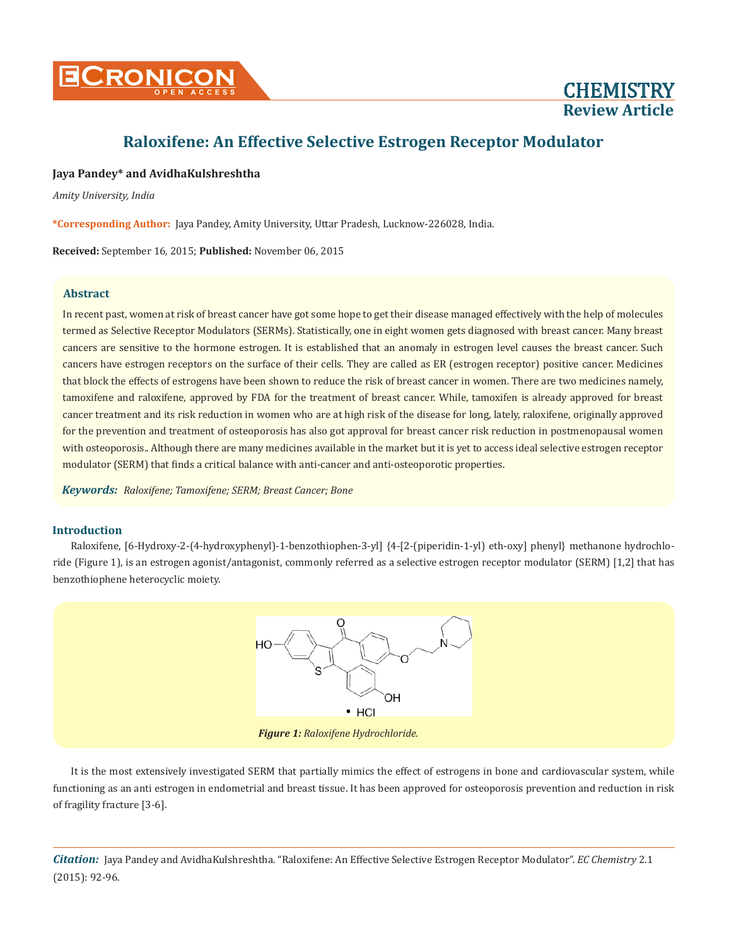

## **Jaya Pandey\* and AvidhaKulshreshtha**

*Amity University, India*

**\*Corresponding Author:** Jaya Pandey, Amity University, Uttar Pradesh, Lucknow-226028, India.

**Received:** September 16, 2015; **Published:** November 06, 2015

## **Abstract**

In recent past, women at risk of breast cancer have got some hope to get their disease managed effectively with the help of molecules termed as Selective Receptor Modulators (SERMs). Statistically, one in eight women gets diagnosed with breast cancer. Many breast cancers are sensitive to the hormone estrogen. It is established that an anomaly in estrogen level causes the breast cancer. Such cancers have estrogen receptors on the surface of their cells. They are called as ER (estrogen receptor) positive cancer. Medicines that block the effects of estrogens have been shown to reduce the risk of breast cancer in women. There are two medicines namely, tamoxifene and raloxifene, approved by FDA for the treatment of breast cancer. While, tamoxifen is already approved for breast cancer treatment and its risk reduction in women who are at high risk of the disease for long, lately, raloxifene, originally approved for the prevention and treatment of osteoporosis has also got approval for breast cancer risk reduction in postmenopausal women with osteoporosis.. Although there are many medicines available in the market but it is yet to access ideal selective estrogen receptor modulator (SERM) that finds a critical balance with anti-cancer and anti-osteoporotic properties.

*Keywords: Raloxifene; Tamoxifene; SERM; Breast Cancer; Bone*

## **Introduction**

Raloxifene, [6-Hydroxy-2-(4-hydroxyphenyl)-1-benzothiophen-3-yl] {4-[2-(piperidin-1-yl) eth-oxy] phenyl} methanone hydrochloride (Figure 1), is an estrogen agonist/antagonist, commonly referred as a selective estrogen receptor modulator (SERM) [1,2] that has benzothiophene heterocyclic moiety.



It is the most extensively investigated SERM that partially mimics the effect of estrogens in bone and cardiovascular system, while functioning as an anti estrogen in endometrial and breast tissue. It has been approved for osteoporosis prevention and reduction in risk of fragility fracture [3-6].

*Citation:* Jaya Pandey and AvidhaKulshreshtha. "Raloxifene: An Effective Selective Estrogen Receptor Modulator". *EC Chemistry* 2.1 (2015): 92-96.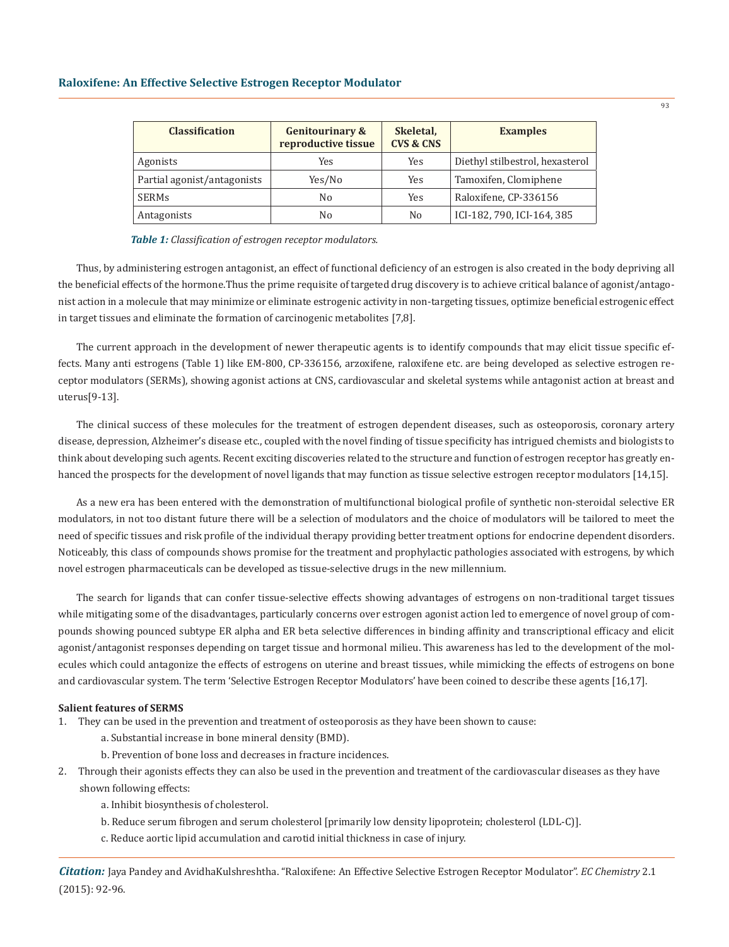| <b>Classification</b>       | <b>Genitourinary &amp;</b><br>reproductive tissue | Skeletal,<br><b>CVS &amp; CNS</b> | <b>Examples</b>                 |
|-----------------------------|---------------------------------------------------|-----------------------------------|---------------------------------|
| Agonists                    | Yes                                               | Yes                               | Diethyl stilbestrol, hexasterol |
| Partial agonist/antagonists | Yes/No                                            | Yes                               | Tamoxifen, Clomiphene           |
| <b>SERMs</b>                | No                                                | Yes                               | Raloxifene, CP-336156           |
| Antagonists                 | No                                                | No                                | ICI-182, 790, ICI-164, 385      |

*Table 1: Classification of estrogen receptor modulators.*

Thus, by administering estrogen antagonist, an effect of functional deficiency of an estrogen is also created in the body depriving all the beneficial effects of the hormone.Thus the prime requisite of targeted drug discovery is to achieve critical balance of agonist/antagonist action in a molecule that may minimize or eliminate estrogenic activity in non-targeting tissues, optimize beneficial estrogenic effect in target tissues and eliminate the formation of carcinogenic metabolites [7,8].

The current approach in the development of newer therapeutic agents is to identify compounds that may elicit tissue specific effects. Many anti estrogens (Table 1) like EM-800, CP-336156, arzoxifene, raloxifene etc. are being developed as selective estrogen receptor modulators (SERMs), showing agonist actions at CNS, cardiovascular and skeletal systems while antagonist action at breast and uterus[9-13].

The clinical success of these molecules for the treatment of estrogen dependent diseases, such as osteoporosis, coronary artery disease, depression, Alzheimer's disease etc., coupled with the novel finding of tissue specificity has intrigued chemists and biologists to think about developing such agents. Recent exciting discoveries related to the structure and function of estrogen receptor has greatly enhanced the prospects for the development of novel ligands that may function as tissue selective estrogen receptor modulators [14,15].

As a new era has been entered with the demonstration of multifunctional biological profile of synthetic non-steroidal selective ER modulators, in not too distant future there will be a selection of modulators and the choice of modulators will be tailored to meet the need of specific tissues and risk profile of the individual therapy providing better treatment options for endocrine dependent disorders. Noticeably, this class of compounds shows promise for the treatment and prophylactic pathologies associated with estrogens, by which novel estrogen pharmaceuticals can be developed as tissue-selective drugs in the new millennium.

The search for ligands that can confer tissue-selective effects showing advantages of estrogens on non-traditional target tissues while mitigating some of the disadvantages, particularly concerns over estrogen agonist action led to emergence of novel group of compounds showing pounced subtype ER alpha and ER beta selective differences in binding affinity and transcriptional efficacy and elicit agonist/antagonist responses depending on target tissue and hormonal milieu. This awareness has led to the development of the molecules which could antagonize the effects of estrogens on uterine and breast tissues, while mimicking the effects of estrogens on bone and cardiovascular system. The term 'Selective Estrogen Receptor Modulators' have been coined to describe these agents [16,17].

## **Salient features of SERMS**

- 1. They can be used in the prevention and treatment of osteoporosis as they have been shown to cause:
	- a. Substantial increase in bone mineral density (BMD).
	- b. Prevention of bone loss and decreases in fracture incidences.
- 2. Through their agonists effects they can also be used in the prevention and treatment of the cardiovascular diseases as they have shown following effects:
	- a. Inhibit biosynthesis of cholesterol.
	- b. Reduce serum fibrogen and serum cholesterol [primarily low density lipoprotein; cholesterol (LDL-C)].
	- c. Reduce aortic lipid accumulation and carotid initial thickness in case of injury.

*Citation:* Jaya Pandey and AvidhaKulshreshtha. "Raloxifene: An Effective Selective Estrogen Receptor Modulator". *EC Chemistry* 2.1 (2015): 92-96.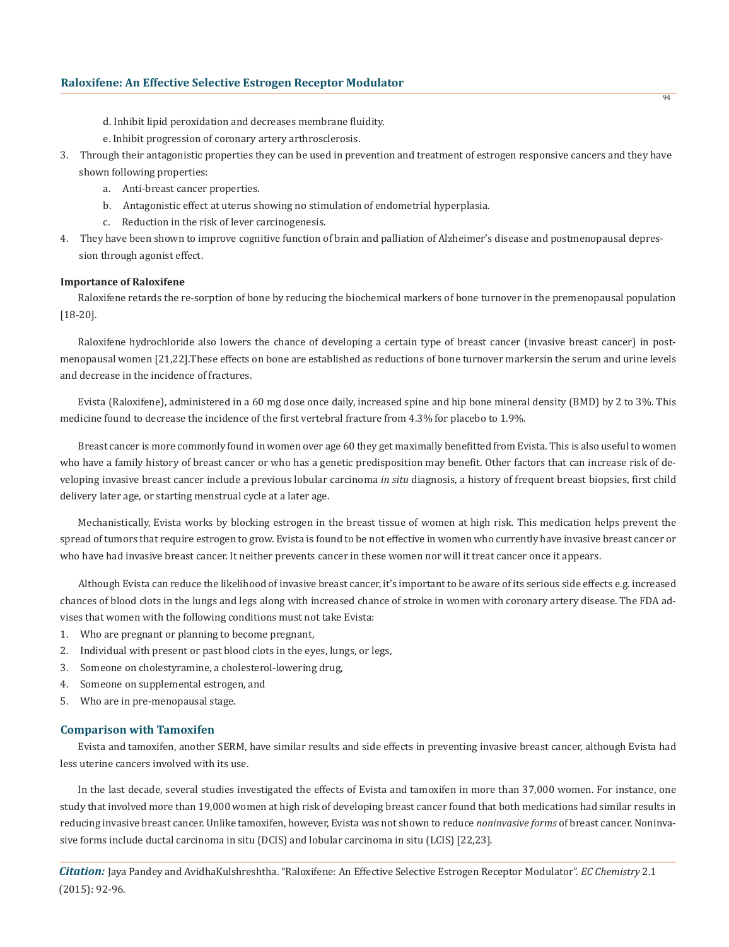- d. Inhibit lipid peroxidation and decreases membrane fluidity.
- e. Inhibit progression of coronary artery arthrosclerosis.
- 3. Through their antagonistic properties they can be used in prevention and treatment of estrogen responsive cancers and they have shown following properties:
	- a. Anti-breast cancer properties.
	- b. Antagonistic effect at uterus showing no stimulation of endometrial hyperplasia.
	- c. Reduction in the risk of lever carcinogenesis.
- 4. They have been shown to improve cognitive function of brain and palliation of Alzheimer's disease and postmenopausal depres sion through agonist effect.

#### **Importance of Raloxifene**

Raloxifene retards the re-sorption of bone by reducing the biochemical markers of bone turnover in the premenopausal population [18-20].

Raloxifene hydrochloride also lowers the chance of developing a certain type of breast cancer (invasive breast cancer) in postmenopausal women [21,22].These effects on bone are established as reductions of bone turnover markersin the serum and urine levels and decrease in the incidence of fractures.

Evista (Raloxifene), administered in a 60 mg dose once daily, increased spine and hip bone mineral density (BMD) by 2 to 3%. This medicine found to decrease the incidence of the first vertebral fracture from 4.3% for placebo to 1.9%.

Breast cancer is more commonly found in women over age 60 they get maximally benefitted from Evista. This is also useful to women who have a family history of breast cancer or who has a genetic predisposition may benefit. Other factors that can increase risk of developing invasive breast cancer include a previous lobular carcinoma *in situ* diagnosis, a history of frequent breast biopsies, first child delivery later age, or starting menstrual cycle at a later age.

Mechanistically, Evista works by blocking estrogen in the breast tissue of women at high risk. This medication helps prevent the spread of tumors that require estrogen to grow. Evista is found to be not effective in women who currently have invasive breast cancer or who have had invasive breast cancer. It neither prevents cancer in these women nor will it treat cancer once it appears.

Although Evista can reduce the likelihood of invasive breast cancer, it's important to be aware of its serious side effects e.g. increased chances of blood clots in the lungs and legs along with increased chance of stroke in women with coronary artery disease. The FDA advises that women with the following conditions must not take Evista:

- 1. Who are pregnant or planning to become pregnant,
- 2. Individual with present or past blood clots in the eyes, lungs, or legs,
- 3. Someone on cholestyramine, a cholesterol-lowering drug,
- 4. Someone on supplemental estrogen, and
- 5. Who are in pre-menopausal stage.

#### **Comparison with Tamoxifen**

Evista and tamoxifen, another SERM, have similar results and side effects in preventing invasive breast cancer, although Evista had less uterine cancers involved with its use.

In the last decade, several studies investigated the effects of Evista and tamoxifen in more than 37,000 women. For instance, one study that involved more than 19,000 women at high risk of developing breast cancer found that both medications had similar results in reducing invasive breast cancer. Unlike tamoxifen, however, Evista was not shown to reduce *noninvasive forms* of breast cancer. Noninvasive forms include ductal carcinoma in situ (DCIS) and lobular carcinoma in situ (LCIS) [22,23].

*Citation:* Jaya Pandey and AvidhaKulshreshtha. "Raloxifene: An Effective Selective Estrogen Receptor Modulator". *EC Chemistry* 2.1 (2015): 92-96.

 $94$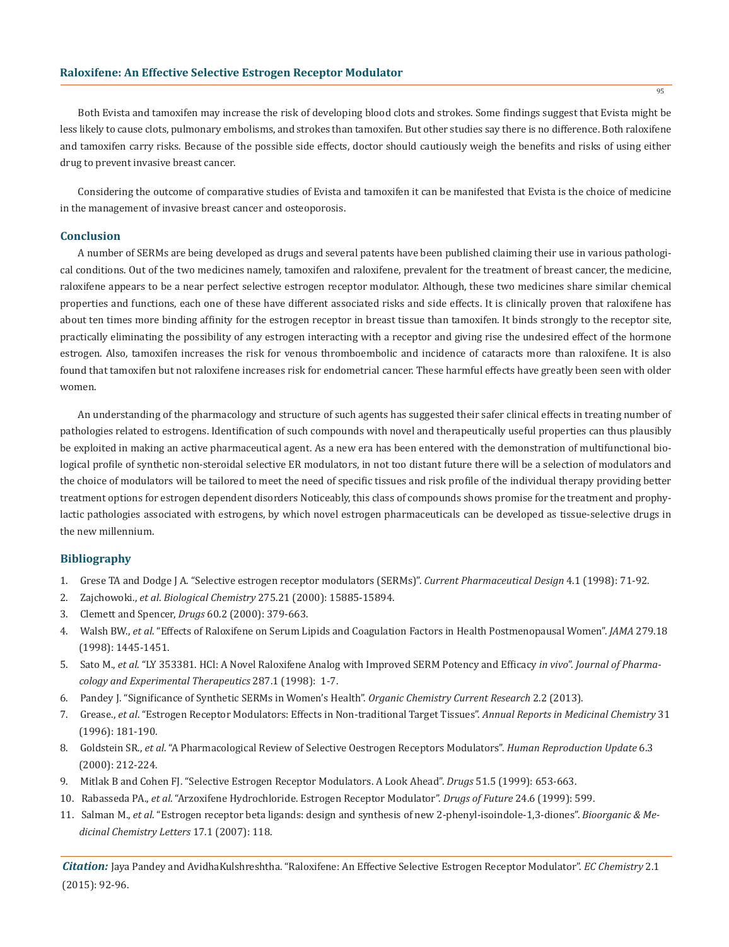Both Evista and tamoxifen may increase the risk of developing blood clots and strokes. Some findings suggest that Evista might be less likely to cause clots, pulmonary embolisms, and strokes than tamoxifen. But other studies say there is no difference. Both raloxifene and tamoxifen carry risks. Because of the possible side effects, doctor should cautiously weigh the benefits and risks of using either drug to prevent invasive breast cancer.

Considering the outcome of comparative studies of Evista and tamoxifen it can be manifested that Evista is the choice of medicine in the management of invasive breast cancer and osteoporosis.

#### **Conclusion**

A number of SERMs are being developed as drugs and several patents have been published claiming their use in various pathological conditions. Out of the two medicines namely, tamoxifen and raloxifene, prevalent for the treatment of breast cancer, the medicine, raloxifene appears to be a near perfect selective estrogen receptor modulator. Although, these two medicines share similar chemical properties and functions, each one of these have different associated risks and side effects. It is clinically proven that raloxifene has about ten times more binding affinity for the estrogen receptor in breast tissue than tamoxifen. It binds strongly to the receptor site, practically eliminating the possibility of any estrogen interacting with a receptor and giving rise the undesired effect of the hormone estrogen. Also, tamoxifen increases the risk for venous thromboembolic and incidence of cataracts more than raloxifene. It is also found that tamoxifen but not raloxifene increases risk for endometrial cancer. These harmful effects have greatly been seen with older women.

An understanding of the pharmacology and structure of such agents has suggested their safer clinical effects in treating number of pathologies related to estrogens. Identification of such compounds with novel and therapeutically useful properties can thus plausibly be exploited in making an active pharmaceutical agent. As a new era has been entered with the demonstration of multifunctional biological profile of synthetic non-steroidal selective ER modulators, in not too distant future there will be a selection of modulators and the choice of modulators will be tailored to meet the need of specific tissues and risk profile of the individual therapy providing better treatment options for estrogen dependent disorders Noticeably, this class of compounds shows promise for the treatment and prophylactic pathologies associated with estrogens, by which novel estrogen pharmaceuticals can be developed as tissue-selective drugs in the new millennium.

# **Bibliography**

- 1. Grese TA and Dodge J A. "Selective estrogen receptor modulators (SERMs)". *Current Pharmaceutical Design* 4.1 (1998): 71-92.
- 2. Zajchowoki., *et al*. *Biological Chemistry* 275.21 (2000): 15885-15894.
- 3. Clemett and Spencer, *Drugs* 60.2 (2000): 379-663.
- 4. Walsh BW., *et al*. "Effects of Raloxifene on Serum Lipids and Coagulation Factors in Health Postmenopausal Women". *JAMA* 279.18 (1998): 1445-1451.
- 5. Sato M., *et al*. "LY 353381. HCl: A Novel Raloxifene Analog with Improved SERM Potency and Efficacy *in vivo*". *Journal of Pharma cology and Experimental Therapeutics* 287.1 (1998): 1-7.
- 6. Pandey J. "Significance of Synthetic SERMs in Women's Health". *Organic Chemistry Current Research* 2.2 (2013).
- 7. Grease., *et al*. "Estrogen Receptor Modulators: Effects in Non-traditional Target Tissues". *Annual Reports in Medicinal Chemistry* 31 (1996): 181-190.
- 8. Goldstein SR., *et al*. "A Pharmacological Review of Selective Oestrogen Receptors Modulators". *Human Reproduction Update* 6.3 (2000): 212-224.
- 9. Mitlak B and Cohen FJ. "Selective Estrogen Receptor Modulators. A Look Ahead". *Drugs* 51.5 (1999): 653-663.
- 10. Rabasseda PA., *et al*. "Arzoxifene Hydrochloride. Estrogen Receptor Modulator". *Drugs of Future* 24.6 (1999): 599.
- 11. Salman M., *et al*. "Estrogen receptor beta ligands: design and synthesis of new 2-phenyl-isoindole-1,3-diones". *Bioorganic & Me dicinal Chemistry Letters* 17.1 (2007): 118.

*Citation:* Jaya Pandey and AvidhaKulshreshtha. "Raloxifene: An Effective Selective Estrogen Receptor Modulator". *EC Chemistry* 2.1 (2015): 92-96.